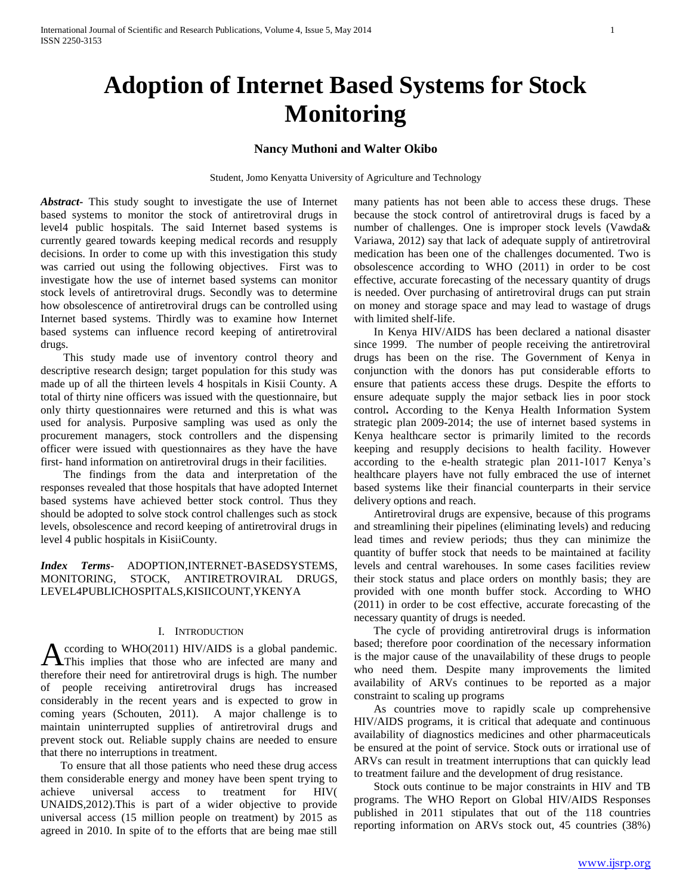# **Adoption of Internet Based Systems for Stock Monitoring**

### **Nancy Muthoni and Walter Okibo**

Student, Jomo Kenyatta University of Agriculture and Technology

*Abstract***-** This study sought to investigate the use of Internet based systems to monitor the stock of antiretroviral drugs in level4 public hospitals. The said Internet based systems is currently geared towards keeping medical records and resupply decisions. In order to come up with this investigation this study was carried out using the following objectives. First was to investigate how the use of internet based systems can monitor stock levels of antiretroviral drugs. Secondly was to determine how obsolescence of antiretroviral drugs can be controlled using Internet based systems. Thirdly was to examine how Internet based systems can influence record keeping of antiretroviral drugs.

 This study made use of inventory control theory and descriptive research design; target population for this study was made up of all the thirteen levels 4 hospitals in Kisii County. A total of thirty nine officers was issued with the questionnaire, but only thirty questionnaires were returned and this is what was used for analysis. Purposive sampling was used as only the procurement managers, stock controllers and the dispensing officer were issued with questionnaires as they have the have first- hand information on antiretroviral drugs in their facilities.

 The findings from the data and interpretation of the responses revealed that those hospitals that have adopted Internet based systems have achieved better stock control. Thus they should be adopted to solve stock control challenges such as stock levels, obsolescence and record keeping of antiretroviral drugs in level 4 public hospitals in KisiiCounty.

*Index Terms*- ADOPTION,INTERNET-BASEDSYSTEMS, MONITORING, STOCK, ANTIRETROVIRAL DRUGS, LEVEL4PUBLICHOSPITALS,KISIICOUNT,YKENYA

## I. INTRODUCTION

ccording to WHO(2011) HIV/AIDS is a global pandemic. A ccording to WHO(2011) HIV/AIDS is a global pandemic.<br>This implies that those who are infected are many and therefore their need for antiretroviral drugs is high. The number of people receiving antiretroviral drugs has increased considerably in the recent years and is expected to grow in coming years (Schouten, 2011). A major challenge is to maintain uninterrupted supplies of antiretroviral drugs and prevent stock out. Reliable supply chains are needed to ensure that there no interruptions in treatment.

 To ensure that all those patients who need these drug access them considerable energy and money have been spent trying to achieve universal access to treatment for HIV( UNAIDS,2012).This is part of a wider objective to provide universal access (15 million people on treatment) by 2015 as agreed in 2010. In spite of to the efforts that are being mae still

many patients has not been able to access these drugs. These because the stock control of antiretroviral drugs is faced by a number of challenges. One is improper stock levels (Vawda& Variawa, 2012) say that lack of adequate supply of antiretroviral medication has been one of the challenges documented. Two is obsolescence according to WHO (2011) in order to be cost effective, accurate forecasting of the necessary quantity of drugs is needed. Over purchasing of antiretroviral drugs can put strain on money and storage space and may lead to wastage of drugs with limited shelf-life.

 In Kenya HIV/AIDS has been declared a national disaster since 1999. The number of people receiving the antiretroviral drugs has been on the rise. The Government of Kenya in conjunction with the donors has put considerable efforts to ensure that patients access these drugs. Despite the efforts to ensure adequate supply the major setback lies in poor stock control**.** According to the Kenya Health Information System strategic plan 2009-2014; the use of internet based systems in Kenya healthcare sector is primarily limited to the records keeping and resupply decisions to health facility. However according to the e-health strategic plan 2011-1017 Kenya's healthcare players have not fully embraced the use of internet based systems like their financial counterparts in their service delivery options and reach.

 Antiretroviral drugs are expensive, because of this programs and streamlining their pipelines (eliminating levels) and reducing lead times and review periods; thus they can minimize the quantity of buffer stock that needs to be maintained at facility levels and central warehouses. In some cases facilities review their stock status and place orders on monthly basis; they are provided with one month buffer stock. According to WHO (2011) in order to be cost effective, accurate forecasting of the necessary quantity of drugs is needed.

 The cycle of providing antiretroviral drugs is information based; therefore poor coordination of the necessary information is the major cause of the unavailability of these drugs to people who need them. Despite many improvements the limited availability of ARVs continues to be reported as a major constraint to scaling up programs

 As countries move to rapidly scale up comprehensive HIV/AIDS programs, it is critical that adequate and continuous availability of diagnostics medicines and other pharmaceuticals be ensured at the point of service. Stock outs or irrational use of ARVs can result in treatment interruptions that can quickly lead to treatment failure and the development of drug resistance.

 Stock outs continue to be major constraints in HIV and TB programs. The WHO Report on Global HIV/AIDS Responses published in 2011 stipulates that out of the 118 countries reporting information on ARVs stock out, 45 countries (38%)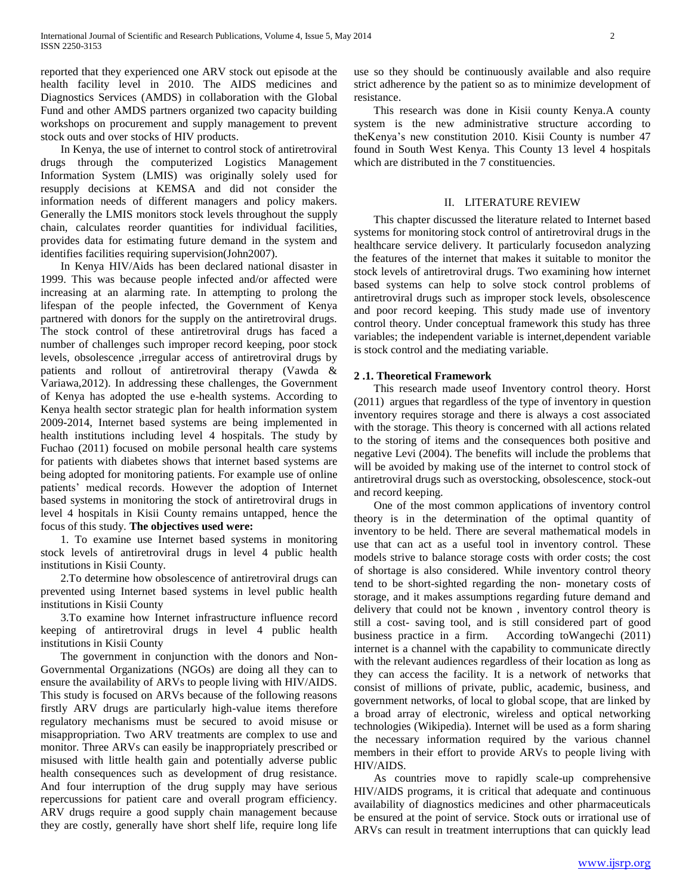reported that they experienced one ARV stock out episode at the health facility level in 2010. The AIDS medicines and Diagnostics Services (AMDS) in collaboration with the Global Fund and other AMDS partners organized two capacity building workshops on procurement and supply management to prevent stock outs and over stocks of HIV products.

 In Kenya, the use of internet to control stock of antiretroviral drugs through the computerized Logistics Management Information System (LMIS) was originally solely used for resupply decisions at KEMSA and did not consider the information needs of different managers and policy makers. Generally the LMIS monitors stock levels throughout the supply chain, calculates reorder quantities for individual facilities, provides data for estimating future demand in the system and identifies facilities requiring supervision(John2007).

 In Kenya HIV/Aids has been declared national disaster in 1999. This was because people infected and/or affected were increasing at an alarming rate. In attempting to prolong the lifespan of the people infected, the Government of Kenya partnered with donors for the supply on the antiretroviral drugs. The stock control of these antiretroviral drugs has faced a number of challenges such improper record keeping, poor stock levels, obsolescence ,irregular access of antiretroviral drugs by patients and rollout of antiretroviral therapy (Vawda & Variawa,2012). In addressing these challenges, the Government of Kenya has adopted the use e-health systems. According to Kenya health sector strategic plan for health information system 2009-2014, Internet based systems are being implemented in health institutions including level 4 hospitals. The study by Fuchao (2011) focused on mobile personal health care systems for patients with diabetes shows that internet based systems are being adopted for monitoring patients. For example use of online patients' medical records. However the adoption of Internet based systems in monitoring the stock of antiretroviral drugs in level 4 hospitals in Kisii County remains untapped, hence the focus of this study. **The objectives used were:**

 1. To examine use Internet based systems in monitoring stock levels of antiretroviral drugs in level 4 public health institutions in Kisii County.

 2.To determine how obsolescence of antiretroviral drugs can prevented using Internet based systems in level public health institutions in Kisii County

 3.To examine how Internet infrastructure influence record keeping of antiretroviral drugs in level 4 public health institutions in Kisii County

 The government in conjunction with the donors and Non-Governmental Organizations (NGOs) are doing all they can to ensure the availability of ARVs to people living with HIV/AIDS. This study is focused on ARVs because of the following reasons firstly ARV drugs are particularly high-value items therefore regulatory mechanisms must be secured to avoid misuse or misappropriation. Two ARV treatments are complex to use and monitor. Three ARVs can easily be inappropriately prescribed or misused with little health gain and potentially adverse public health consequences such as development of drug resistance. And four interruption of the drug supply may have serious repercussions for patient care and overall program efficiency. ARV drugs require a good supply chain management because they are costly, generally have short shelf life, require long life

use so they should be continuously available and also require strict adherence by the patient so as to minimize development of resistance.

 This research was done in Kisii county Kenya.A county system is the new administrative structure according to theKenya's new constitution 2010. Kisii County is number 47 found in South West Kenya. This County 13 level 4 hospitals which are distributed in the 7 constituencies.

#### II. LITERATURE REVIEW

 This chapter discussed the literature related to Internet based systems for monitoring stock control of antiretroviral drugs in the healthcare service delivery. It particularly focusedon analyzing the features of the internet that makes it suitable to monitor the stock levels of antiretroviral drugs. Two examining how internet based systems can help to solve stock control problems of antiretroviral drugs such as improper stock levels, obsolescence and poor record keeping. This study made use of inventory control theory. Under conceptual framework this study has three variables; the independent variable is internet,dependent variable is stock control and the mediating variable.

#### **2 .1. Theoretical Framework**

 This research made useof Inventory control theory. Horst (2011) argues that regardless of the type of inventory in question inventory requires storage and there is always a cost associated with the storage. This theory is concerned with all actions related to the storing of items and the consequences both positive and negative Levi (2004). The benefits will include the problems that will be avoided by making use of the internet to control stock of antiretroviral drugs such as overstocking, obsolescence, stock-out and record keeping.

 One of the most common applications of inventory control theory is in the determination of the optimal quantity of inventory to be held. There are several mathematical models in use that can act as a useful tool in inventory control. These models strive to balance storage costs with order costs; the cost of shortage is also considered. While inventory control theory tend to be short-sighted regarding the non- monetary costs of storage, and it makes assumptions regarding future demand and delivery that could not be known , inventory control theory is still a cost- saving tool, and is still considered part of good business practice in a firm. According toWangechi (2011) internet is a channel with the capability to communicate directly with the relevant audiences regardless of their location as long as they can access the facility. It is a network of networks that consist of millions of private, public, academic, business, and government networks, of local to global scope, that are linked by a broad array of electronic, wireless and optical networking technologies (Wikipedia). Internet will be used as a form sharing the necessary information required by the various channel members in their effort to provide ARVs to people living with HIV/AIDS.

 As countries move to rapidly scale-up comprehensive HIV/AIDS programs, it is critical that adequate and continuous availability of diagnostics medicines and other pharmaceuticals be ensured at the point of service. Stock outs or irrational use of ARVs can result in treatment interruptions that can quickly lead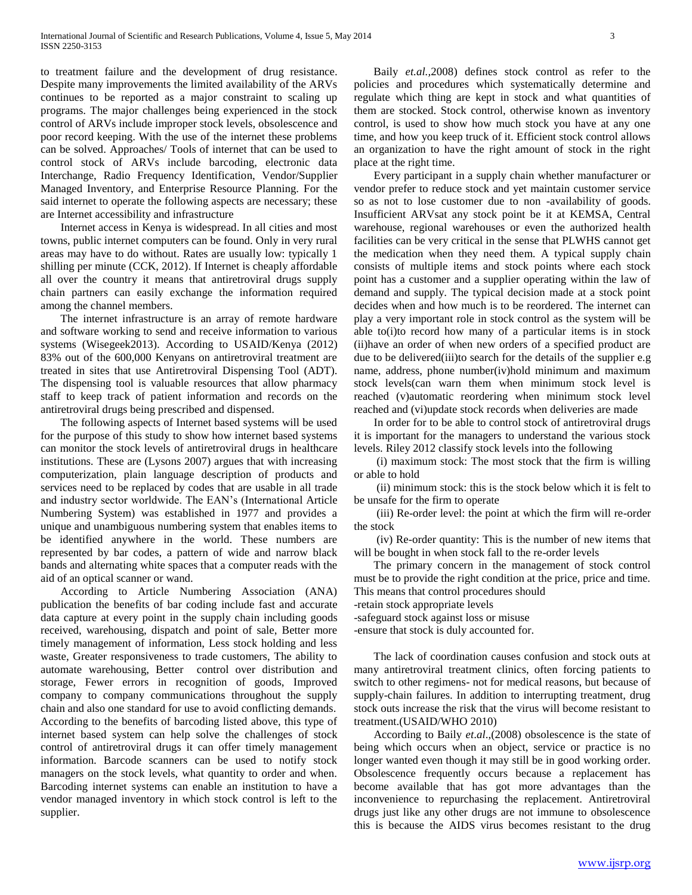to treatment failure and the development of drug resistance. Despite many improvements the limited availability of the ARVs continues to be reported as a major constraint to scaling up programs. The major challenges being experienced in the stock control of ARVs include improper stock levels, obsolescence and poor record keeping. With the use of the internet these problems can be solved. Approaches/ Tools of internet that can be used to control stock of ARVs include barcoding, electronic data Interchange, Radio Frequency Identification, Vendor/Supplier Managed Inventory, and Enterprise Resource Planning. For the said internet to operate the following aspects are necessary; these are Internet accessibility and infrastructure

 Internet access in Kenya is widespread. In all cities and most towns, public internet computers can be found. Only in very rural areas may have to do without. Rates are usually low: typically 1 shilling per minute (CCK, 2012). If Internet is cheaply affordable all over the country it means that antiretroviral drugs supply chain partners can easily exchange the information required among the channel members.

 The internet infrastructure is an array of remote hardware and software working to send and receive information to various systems (Wisegeek2013). According to USAID/Kenya (2012) 83% out of the 600,000 Kenyans on antiretroviral treatment are treated in sites that use Antiretroviral Dispensing Tool (ADT). The dispensing tool is valuable resources that allow pharmacy staff to keep track of patient information and records on the antiretroviral drugs being prescribed and dispensed.

 The following aspects of Internet based systems will be used for the purpose of this study to show how internet based systems can monitor the stock levels of antiretroviral drugs in healthcare institutions. These are (Lysons 2007) argues that with increasing computerization, plain language description of products and services need to be replaced by codes that are usable in all trade and industry sector worldwide. The EAN's (International Article Numbering System) was established in 1977 and provides a unique and unambiguous numbering system that enables items to be identified anywhere in the world. These numbers are represented by bar codes, a pattern of wide and narrow black bands and alternating white spaces that a computer reads with the aid of an optical scanner or wand.

 According to Article Numbering Association (ANA) publication the benefits of bar coding include fast and accurate data capture at every point in the supply chain including goods received, warehousing, dispatch and point of sale, Better more timely management of information, Less stock holding and less waste, Greater responsiveness to trade customers, The ability to automate warehousing, Better control over distribution and storage, Fewer errors in recognition of goods, Improved company to company communications throughout the supply chain and also one standard for use to avoid conflicting demands. According to the benefits of barcoding listed above, this type of internet based system can help solve the challenges of stock control of antiretroviral drugs it can offer timely management information. Barcode scanners can be used to notify stock managers on the stock levels, what quantity to order and when. Barcoding internet systems can enable an institution to have a vendor managed inventory in which stock control is left to the supplier.

 Baily *et.al.,*2008) defines stock control as refer to the policies and procedures which systematically determine and regulate which thing are kept in stock and what quantities of them are stocked. Stock control, otherwise known as inventory control, is used to show how much stock you have at any one time, and how you keep truck of it. Efficient stock control allows an organization to have the right amount of stock in the right place at the right time.

 Every participant in a supply chain whether manufacturer or vendor prefer to reduce stock and yet maintain customer service so as not to lose customer due to non -availability of goods. Insufficient ARVsat any stock point be it at KEMSA, Central warehouse, regional warehouses or even the authorized health facilities can be very critical in the sense that PLWHS cannot get the medication when they need them. A typical supply chain consists of multiple items and stock points where each stock point has a customer and a supplier operating within the law of demand and supply. The typical decision made at a stock point decides when and how much is to be reordered. The internet can play a very important role in stock control as the system will be able to(i)to record how many of a particular items is in stock (ii)have an order of when new orders of a specified product are due to be delivered(iii)to search for the details of the supplier e.g name, address, phone number(iv)hold minimum and maximum stock levels(can warn them when minimum stock level is reached (v)automatic reordering when minimum stock level reached and (vi)update stock records when deliveries are made

 In order for to be able to control stock of antiretroviral drugs it is important for the managers to understand the various stock levels. Riley 2012 classify stock levels into the following

 (i) maximum stock: The most stock that the firm is willing or able to hold

 (ii) minimum stock: this is the stock below which it is felt to be unsafe for the firm to operate

 (iii) Re-order level: the point at which the firm will re-order the stock

 (iv) Re-order quantity: This is the number of new items that will be bought in when stock fall to the re-order levels

 The primary concern in the management of stock control must be to provide the right condition at the price, price and time. This means that control procedures should

-retain stock appropriate levels

-safeguard stock against loss or misuse

-ensure that stock is duly accounted for.

 The lack of coordination causes confusion and stock outs at many antiretroviral treatment clinics, often forcing patients to switch to other regimens- not for medical reasons, but because of supply-chain failures. In addition to interrupting treatment, drug stock outs increase the risk that the virus will become resistant to treatment.(USAID/WHO 2010)

 According to Baily *et*.*al*.,(2008) obsolescence is the state of being which occurs when an object, service or practice is no longer wanted even though it may still be in good working order. Obsolescence frequently occurs because a replacement has become available that has got more advantages than the inconvenience to repurchasing the replacement. Antiretroviral drugs just like any other drugs are not immune to obsolescence this is because the AIDS virus becomes resistant to the drug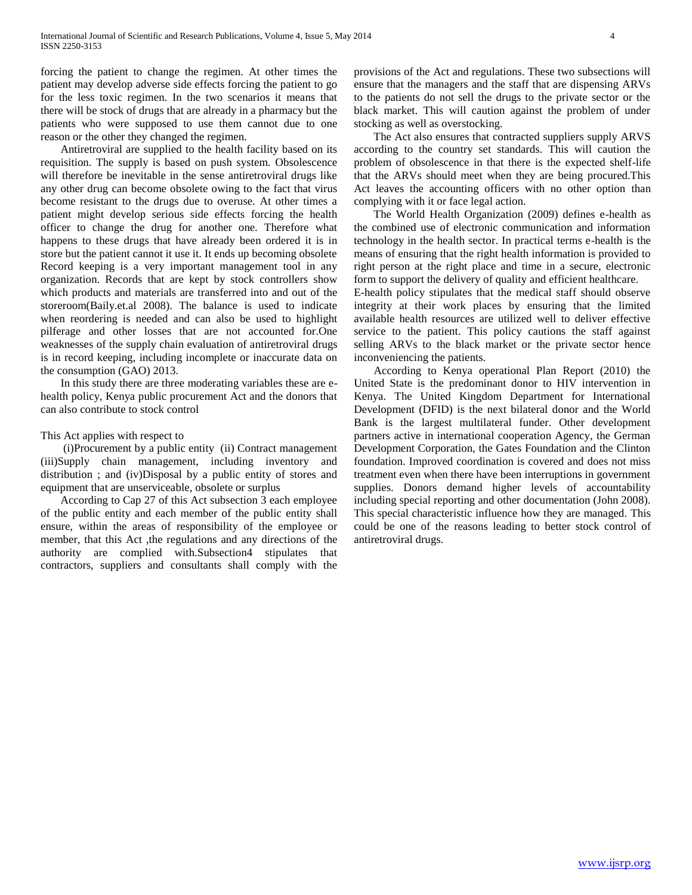forcing the patient to change the regimen. At other times the patient may develop adverse side effects forcing the patient to go for the less toxic regimen. In the two scenarios it means that there will be stock of drugs that are already in a pharmacy but the patients who were supposed to use them cannot due to one reason or the other they changed the regimen.

 Antiretroviral are supplied to the health facility based on its requisition. The supply is based on push system. Obsolescence will therefore be inevitable in the sense antiretroviral drugs like any other drug can become obsolete owing to the fact that virus become resistant to the drugs due to overuse. At other times a patient might develop serious side effects forcing the health officer to change the drug for another one. Therefore what happens to these drugs that have already been ordered it is in store but the patient cannot it use it. It ends up becoming obsolete Record keeping is a very important management tool in any organization. Records that are kept by stock controllers show which products and materials are transferred into and out of the storeroom(Baily.et.al 2008). The balance is used to indicate when reordering is needed and can also be used to highlight pilferage and other losses that are not accounted for.One weaknesses of the supply chain evaluation of antiretroviral drugs is in record keeping, including incomplete or inaccurate data on the consumption (GAO) 2013.

 In this study there are three moderating variables these are ehealth policy, Kenya public procurement Act and the donors that can also contribute to stock control

#### This Act applies with respect to

 (i)Procurement by a public entity (ii) Contract management (iii)Supply chain management, including inventory and distribution ; and (iv)Disposal by a public entity of stores and equipment that are unserviceable, obsolete or surplus

 According to Cap 27 of this Act subsection 3 each employee of the public entity and each member of the public entity shall ensure, within the areas of responsibility of the employee or member, that this Act ,the regulations and any directions of the authority are complied with.Subsection4 stipulates that contractors, suppliers and consultants shall comply with the provisions of the Act and regulations. These two subsections will ensure that the managers and the staff that are dispensing ARVs to the patients do not sell the drugs to the private sector or the black market. This will caution against the problem of under stocking as well as overstocking.

 The Act also ensures that contracted suppliers supply ARVS according to the country set standards. This will caution the problem of obsolescence in that there is the expected shelf-life that the ARVs should meet when they are being procured.This Act leaves the accounting officers with no other option than complying with it or face legal action.

 The World Health Organization (2009) defines e-health as the combined use of electronic communication and information technology in the health sector. In practical terms e-health is the means of ensuring that the right health information is provided to right person at the right place and time in a secure, electronic form to support the delivery of quality and efficient healthcare.

E-health policy stipulates that the medical staff should observe integrity at their work places by ensuring that the limited available health resources are utilized well to deliver effective service to the patient. This policy cautions the staff against selling ARVs to the black market or the private sector hence inconveniencing the patients.

 According to Kenya operational Plan Report (2010) the United State is the predominant donor to HIV intervention in Kenya. The United Kingdom Department for International Development (DFID) is the next bilateral donor and the World Bank is the largest multilateral funder. Other development partners active in international cooperation Agency, the German Development Corporation, the Gates Foundation and the Clinton foundation. Improved coordination is covered and does not miss treatment even when there have been interruptions in government supplies. Donors demand higher levels of accountability including special reporting and other documentation (John 2008). This special characteristic influence how they are managed. This could be one of the reasons leading to better stock control of antiretroviral drugs.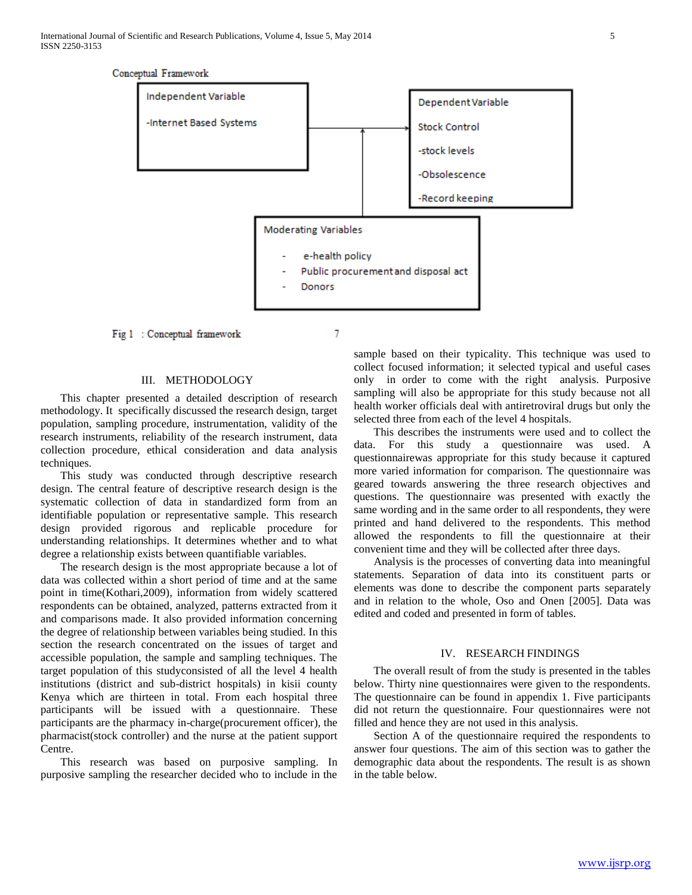

Fig 1 : Conceptual framework

### III. METHODOLOGY

 This chapter presented a detailed description of research methodology. It specifically discussed the research design, target population, sampling procedure, instrumentation, validity of the research instruments, reliability of the research instrument, data collection procedure, ethical consideration and data analysis techniques.

 This study was conducted through descriptive research design. The central feature of descriptive research design is the systematic collection of data in standardized form from an identifiable population or representative sample. This research design provided rigorous and replicable procedure for understanding relationships. It determines whether and to what degree a relationship exists between quantifiable variables.

 The research design is the most appropriate because a lot of data was collected within a short period of time and at the same point in time(Kothari,2009), information from widely scattered respondents can be obtained, analyzed, patterns extracted from it and comparisons made. It also provided information concerning the degree of relationship between variables being studied. In this section the research concentrated on the issues of target and accessible population, the sample and sampling techniques. The target population of this studyconsisted of all the level 4 health institutions (district and sub-district hospitals) in kisii county Kenya which are thirteen in total. From each hospital three participants will be issued with a questionnaire. These participants are the pharmacy in-charge(procurement officer), the pharmacist(stock controller) and the nurse at the patient support Centre.

 This research was based on purposive sampling. In purposive sampling the researcher decided who to include in the

sample based on their typicality. This technique was used to collect focused information; it selected typical and useful cases only in order to come with the right analysis. Purposive sampling will also be appropriate for this study because not all health worker officials deal with antiretroviral drugs but only the selected three from each of the level 4 hospitals.

 This describes the instruments were used and to collect the data. For this study a questionnaire was used. A questionnairewas appropriate for this study because it captured more varied information for comparison. The questionnaire was geared towards answering the three research objectives and questions. The questionnaire was presented with exactly the same wording and in the same order to all respondents, they were printed and hand delivered to the respondents. This method allowed the respondents to fill the questionnaire at their convenient time and they will be collected after three days.

 Analysis is the processes of converting data into meaningful statements. Separation of data into its constituent parts or elements was done to describe the component parts separately and in relation to the whole, Oso and Onen [2005]. Data was edited and coded and presented in form of tables.

#### IV. RESEARCH FINDINGS

 The overall result of from the study is presented in the tables below. Thirty nine questionnaires were given to the respondents. The questionnaire can be found in appendix 1. Five participants did not return the questionnaire. Four questionnaires were not filled and hence they are not used in this analysis.

 Section A of the questionnaire required the respondents to answer four questions. The aim of this section was to gather the demographic data about the respondents. The result is as shown in the table below.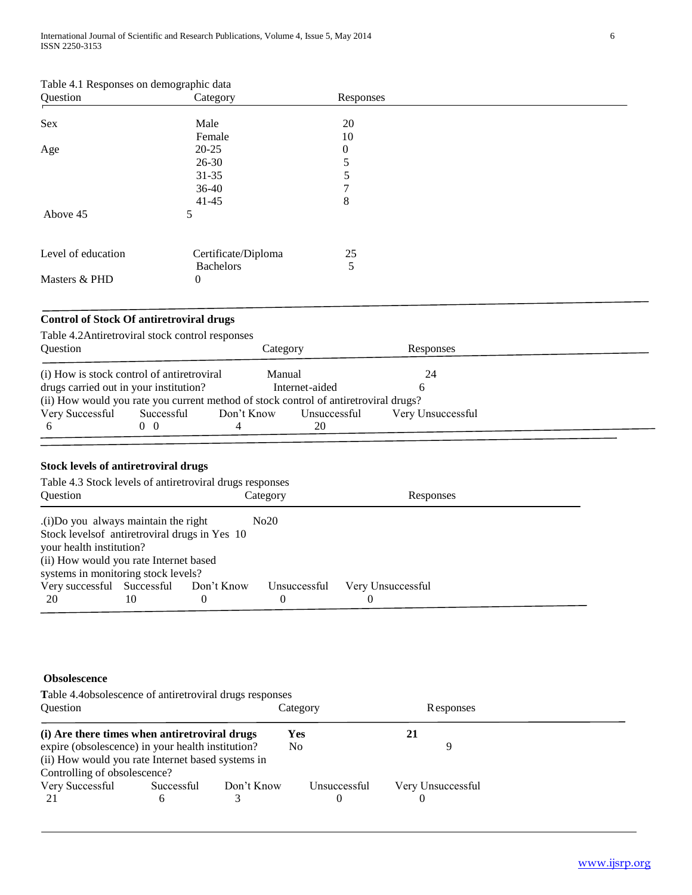| Table 4.1 Responses on demographic data |  |  |
|-----------------------------------------|--|--|
|-----------------------------------------|--|--|

| Question           | Category            | Responses      |
|--------------------|---------------------|----------------|
|                    |                     |                |
| Sex                | Male                | 20             |
|                    | Female              | 10             |
| Age                | $20 - 25$           | $\overline{0}$ |
|                    | $26 - 30$           | 5              |
|                    | $31 - 35$           | 5              |
|                    | $36-40$             | 7              |
|                    | $41 - 45$           | 8              |
| Above 45           | 5                   |                |
|                    |                     |                |
| Level of education | Certificate/Diploma | 25             |
|                    | <b>Bachelors</b>    | 5              |
| Masters & PHD      | 0                   |                |

# **Control of Stock Of antiretroviral drugs**

| Table 4.2 Antiretroviral stock control responses                                     |                          |          |                |                   |  |
|--------------------------------------------------------------------------------------|--------------------------|----------|----------------|-------------------|--|
| Question                                                                             |                          | Category |                | Responses         |  |
|                                                                                      |                          |          |                |                   |  |
| (i) How is stock control of antiretroviral                                           |                          | Manual   |                | 24                |  |
| drugs carried out in your institution?                                               |                          |          | Internet-aided |                   |  |
| (ii) How would you rate you current method of stock control of antiretroviral drugs? |                          |          |                |                   |  |
| Very Successful                                                                      | Successful<br>Don't Know |          | Unsuccessful   | Very Unsuccessful |  |
|                                                                                      | (0)                      |          | 20             |                   |  |

# **Stock levels of antiretroviral drugs**

| Table 4.3 Stock levels of antiretroviral drugs responses |    |            |                  |                   |  |  |  |  |  |  |
|----------------------------------------------------------|----|------------|------------------|-------------------|--|--|--|--|--|--|
| <b>Ouestion</b>                                          |    |            | Category         | Responses         |  |  |  |  |  |  |
| (i) Do you always maintain the right                     |    |            |                  |                   |  |  |  |  |  |  |
| Stock levels of antiretroviral drugs in Yes 10           |    |            |                  |                   |  |  |  |  |  |  |
| your health institution?                                 |    |            |                  |                   |  |  |  |  |  |  |
| (ii) How would you rate Internet based                   |    |            |                  |                   |  |  |  |  |  |  |
| systems in monitoring stock levels?                      |    |            |                  |                   |  |  |  |  |  |  |
| Very successful Successful                               |    | Don't Know | Unsuccessful     | Very Unsuccessful |  |  |  |  |  |  |
| 20                                                       | 10 | $\theta$   | $\left( \right)$ |                   |  |  |  |  |  |  |

# **Obsolescence**

| Table 4.4 obsolescence of antiretroviral drugs responses |            |            |                |              |    |                   |  |  |  |  |
|----------------------------------------------------------|------------|------------|----------------|--------------|----|-------------------|--|--|--|--|
| <b>Ouestion</b>                                          |            |            | Category       |              |    | <b>Responses</b>  |  |  |  |  |
| (i) Are there times when antiretroviral drugs            |            |            | Yes            |              | 21 |                   |  |  |  |  |
| expire (obsolescence) in your health institution?        |            |            | N <sub>0</sub> |              |    | Q                 |  |  |  |  |
| (ii) How would you rate Internet based systems in        |            |            |                |              |    |                   |  |  |  |  |
| Controlling of obsolescence?                             |            |            |                |              |    |                   |  |  |  |  |
| Very Successful                                          | Successful | Don't Know |                | Unsuccessful |    | Very Unsuccessful |  |  |  |  |
| 21                                                       | h          |            |                |              |    |                   |  |  |  |  |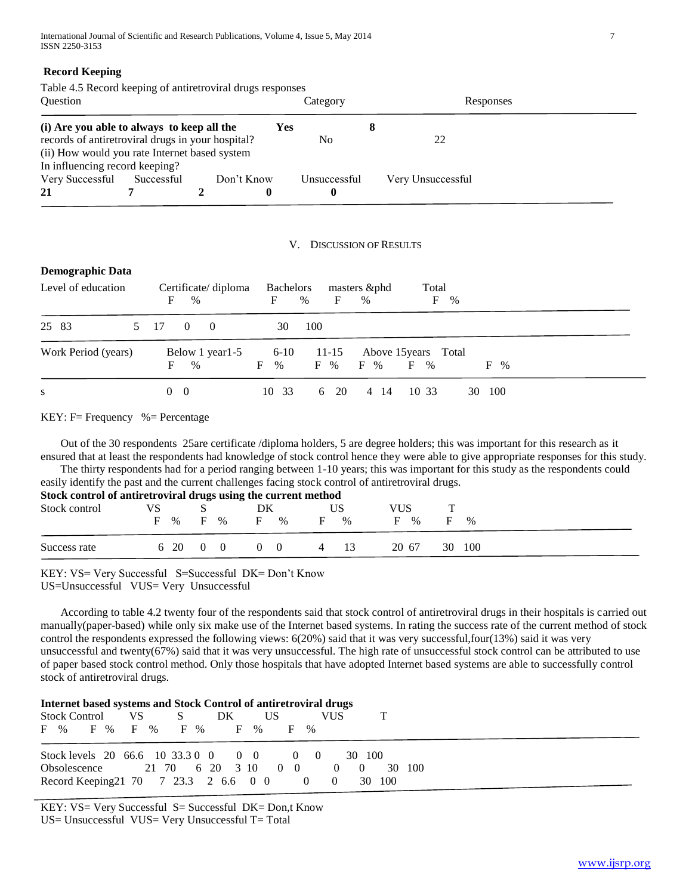### **Record Keeping**

Table 4.5 Record keeping of antiretroviral drugs responses

| <b>Ouestion</b>                                   |            |  |            | Category |              |  | Responses         |  |
|---------------------------------------------------|------------|--|------------|----------|--------------|--|-------------------|--|
| (i) Are you able to always to keep all the        |            |  |            | Yes      |              |  |                   |  |
| records of antiretroviral drugs in your hospital? |            |  |            |          | No.          |  | 22                |  |
| (ii) How would you rate Internet based system     |            |  |            |          |              |  |                   |  |
| In influencing record keeping?                    |            |  |            |          |              |  |                   |  |
| Very Successful                                   | Successful |  | Don't Know |          | Unsuccessful |  | Very Unsuccessful |  |
| 21                                                |            |  | 0          |          | $\bf{0}$     |  |                   |  |

#### V. DISCUSSION OF RESULTS

#### **Demographic Data**

| Level of education  | Certificate/diploma<br>F<br>$\%$ | Bachelors<br>F<br>$\%$       | masters &phd<br>F<br>$\%$ | Total<br>F<br>$\%$                                     |  |
|---------------------|----------------------------------|------------------------------|---------------------------|--------------------------------------------------------|--|
| 25 83               | 5 17<br>$\Omega$<br>$\Omega$     | 100<br>30                    |                           |                                                        |  |
| Work Period (years) | Below 1 year 1-5<br>F<br>$\%$    | $6 - 10$<br>F %<br>F<br>$\%$ | $11 - 15$<br>$F \gamma$   | Above 15 years Total<br>$\mathbf{F}$<br>$F \%$<br>$\%$ |  |
| S                   | $\overline{0}$<br>- 0            | 10 33<br>6                   | -20<br>4 14               | 10 33<br>- 100<br>30                                   |  |

#### KEY:  $F=$  Frequency % = Percentage

 Out of the 30 respondents 25are certificate /diploma holders, 5 are degree holders; this was important for this research as it ensured that at least the respondents had knowledge of stock control hence they were able to give appropriate responses for this study.<br>The thirty respondents had for a period ranging between 1-10 years: this was important The thirty respondents had for a period ranging between  $1-10$  years; this was important for this study as the

| The thirty respondents had for a period ranging between 1-10 years; this was important for this study as the respondents could |  |          |  |  |                                     |  |    |      |     |       |   |        |
|--------------------------------------------------------------------------------------------------------------------------------|--|----------|--|--|-------------------------------------|--|----|------|-----|-------|---|--------|
| easily identify the past and the current challenges facing stock control of antiretroviral drugs.                              |  |          |  |  |                                     |  |    |      |     |       |   |        |
| Stock control of antiretroviral drugs using the current method                                                                 |  |          |  |  |                                     |  |    |      |     |       |   |        |
| Stock control                                                                                                                  |  |          |  |  | DK                                  |  |    | US   | VUS |       |   |        |
|                                                                                                                                |  |          |  |  | F % F % F %                         |  | F. | $\%$ | E   | $\%$  | E | 0/2    |
| Success rate                                                                                                                   |  | 6 20 0 0 |  |  | $\begin{matrix} 0 & 0 \end{matrix}$ |  |    | 4 13 |     | 20.67 |   | 30 100 |

KEY: VS= Very Successful S=Successful DK= Don't Know

US=Unsuccessful VUS= Very Unsuccessful

 According to table 4.2 twenty four of the respondents said that stock control of antiretroviral drugs in their hospitals is carried out manually(paper-based) while only six make use of the Internet based systems. In rating the success rate of the current method of stock control the respondents expressed the following views: 6(20%) said that it was very successful,four(13%) said it was very unsuccessful and twenty(67%) said that it was very unsuccessful. The high rate of unsuccessful stock control can be attributed to use of paper based stock control method. Only those hospitals that have adopted Internet based systems are able to successfully control stock of antiretroviral drugs.

| Internet based systems and Stock Control of antiretroviral drugs |  |    |              |                                                 |             |        |  |  |
|------------------------------------------------------------------|--|----|--------------|-------------------------------------------------|-------------|--------|--|--|
| Stock Control VS                                                 |  | S. | DK<br>US     |                                                 | VUS.        |        |  |  |
| F % F % F % F %                                                  |  |    | <b>F</b> % F | $\%$                                            |             |        |  |  |
|                                                                  |  |    |              |                                                 |             |        |  |  |
| Stock levels 20 66.6 10 33.3 0 0 0 0 0 0 0                       |  |    |              |                                                 | 30 100      |        |  |  |
| Obsolescence 21 70 6 20 3 10 0 0                                 |  |    |              |                                                 | $0 \quad 0$ | 30 100 |  |  |
| Record Keeping 21 70 7 23.3 2 6.6 0 0                            |  |    |              | $\begin{array}{ccc} & & 0 & \hline \end{array}$ |             | 30 100 |  |  |
|                                                                  |  |    |              |                                                 |             |        |  |  |

KEY: VS= Very Successful S= Successful DK= Don,t Know US= Unsuccessful VUS= Very Unsuccessful T= Total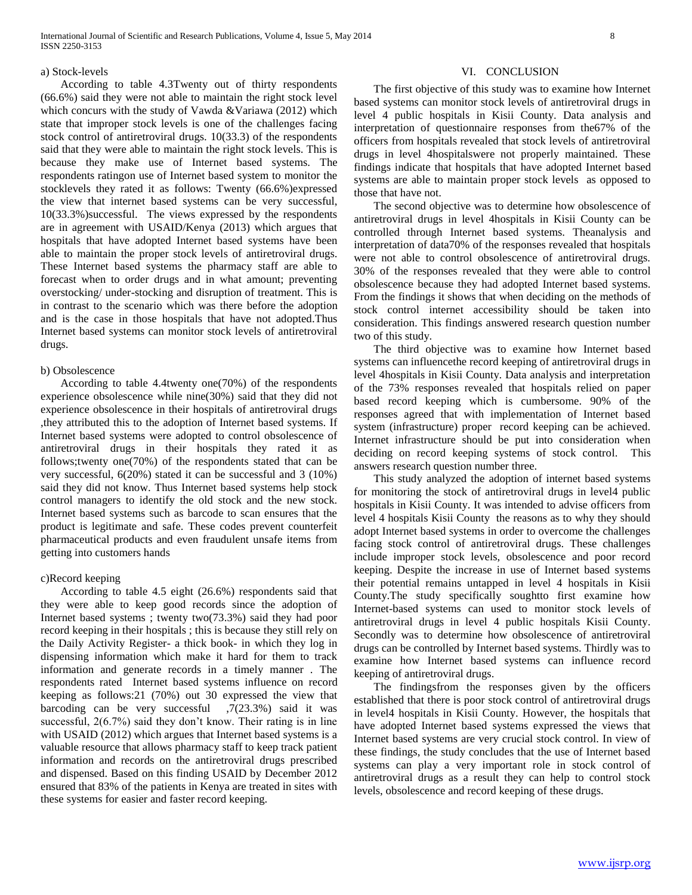#### a) Stock-levels

 According to table 4.3Twenty out of thirty respondents (66.6%) said they were not able to maintain the right stock level which concurs with the study of Vawda &Variawa (2012) which state that improper stock levels is one of the challenges facing stock control of antiretroviral drugs. 10(33.3) of the respondents said that they were able to maintain the right stock levels. This is because they make use of Internet based systems. The respondents ratingon use of Internet based system to monitor the stocklevels they rated it as follows: Twenty (66.6%)expressed the view that internet based systems can be very successful, 10(33.3%)successful. The views expressed by the respondents are in agreement with USAID/Kenya (2013) which argues that hospitals that have adopted Internet based systems have been able to maintain the proper stock levels of antiretroviral drugs. These Internet based systems the pharmacy staff are able to forecast when to order drugs and in what amount; preventing overstocking/ under-stocking and disruption of treatment. This is in contrast to the scenario which was there before the adoption and is the case in those hospitals that have not adopted.Thus Internet based systems can monitor stock levels of antiretroviral drugs.

#### b) Obsolescence

 According to table 4.4twenty one(70%) of the respondents experience obsolescence while nine(30%) said that they did not experience obsolescence in their hospitals of antiretroviral drugs ,they attributed this to the adoption of Internet based systems. If Internet based systems were adopted to control obsolescence of antiretroviral drugs in their hospitals they rated it as follows;twenty one(70%) of the respondents stated that can be very successful, 6(20%) stated it can be successful and 3 (10%) said they did not know. Thus Internet based systems help stock control managers to identify the old stock and the new stock. Internet based systems such as barcode to scan ensures that the product is legitimate and safe. These codes prevent counterfeit pharmaceutical products and even fraudulent unsafe items from getting into customers hands

#### c)Record keeping

 According to table 4.5 eight (26.6%) respondents said that they were able to keep good records since the adoption of Internet based systems ; twenty two(73.3%) said they had poor record keeping in their hospitals ; this is because they still rely on the Daily Activity Register- a thick book- in which they log in dispensing information which make it hard for them to track information and generate records in a timely manner . The respondents rated Internet based systems influence on record keeping as follows:21 (70%) out 30 expressed the view that barcoding can be very successful ,7(23.3%) said it was successful, 2(6.7%) said they don't know. Their rating is in line with USAID (2012) which argues that Internet based systems is a valuable resource that allows pharmacy staff to keep track patient information and records on the antiretroviral drugs prescribed and dispensed. Based on this finding USAID by December 2012 ensured that 83% of the patients in Kenya are treated in sites with these systems for easier and faster record keeping.

### VI. CONCLUSION

 The first objective of this study was to examine how Internet based systems can monitor stock levels of antiretroviral drugs in level 4 public hospitals in Kisii County. Data analysis and interpretation of questionnaire responses from the67% of the officers from hospitals revealed that stock levels of antiretroviral drugs in level 4hospitalswere not properly maintained. These findings indicate that hospitals that have adopted Internet based systems are able to maintain proper stock levels as opposed to those that have not.

 The second objective was to determine how obsolescence of antiretroviral drugs in level 4hospitals in Kisii County can be controlled through Internet based systems. Theanalysis and interpretation of data70% of the responses revealed that hospitals were not able to control obsolescence of antiretroviral drugs. 30% of the responses revealed that they were able to control obsolescence because they had adopted Internet based systems. From the findings it shows that when deciding on the methods of stock control internet accessibility should be taken into consideration. This findings answered research question number two of this study.

 The third objective was to examine how Internet based systems can influencethe record keeping of antiretroviral drugs in level 4hospitals in Kisii County. Data analysis and interpretation of the 73% responses revealed that hospitals relied on paper based record keeping which is cumbersome. 90% of the responses agreed that with implementation of Internet based system (infrastructure) proper record keeping can be achieved. Internet infrastructure should be put into consideration when deciding on record keeping systems of stock control. This answers research question number three.

 This study analyzed the adoption of internet based systems for monitoring the stock of antiretroviral drugs in level4 public hospitals in Kisii County. It was intended to advise officers from level 4 hospitals Kisii County the reasons as to why they should adopt Internet based systems in order to overcome the challenges facing stock control of antiretroviral drugs. These challenges include improper stock levels, obsolescence and poor record keeping. Despite the increase in use of Internet based systems their potential remains untapped in level 4 hospitals in Kisii County.The study specifically soughtto first examine how Internet-based systems can used to monitor stock levels of antiretroviral drugs in level 4 public hospitals Kisii County. Secondly was to determine how obsolescence of antiretroviral drugs can be controlled by Internet based systems. Thirdly was to examine how Internet based systems can influence record keeping of antiretroviral drugs.

 The findingsfrom the responses given by the officers established that there is poor stock control of antiretroviral drugs in level4 hospitals in Kisii County. However, the hospitals that have adopted Internet based systems expressed the views that Internet based systems are very crucial stock control. In view of these findings, the study concludes that the use of Internet based systems can play a very important role in stock control of antiretroviral drugs as a result they can help to control stock levels, obsolescence and record keeping of these drugs.